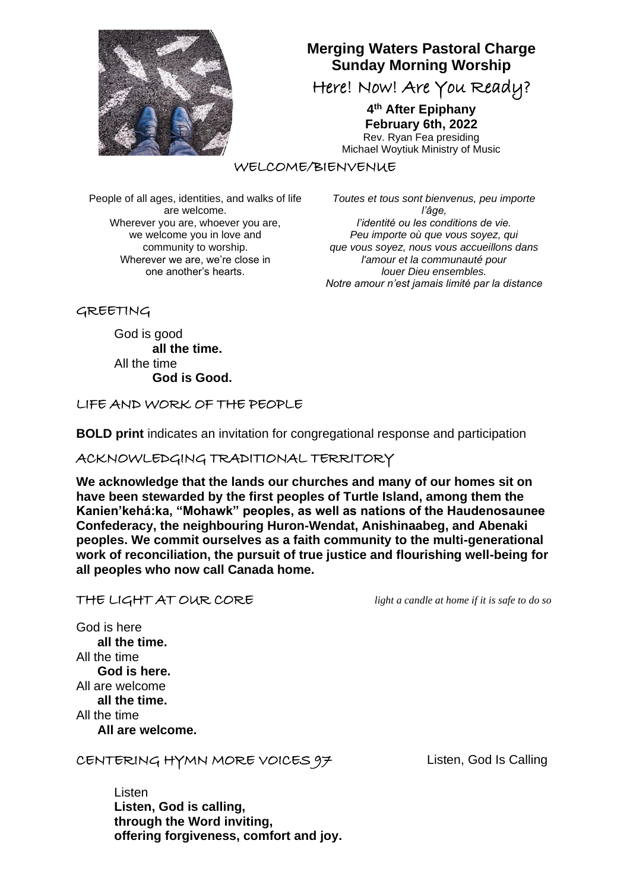

# **Merging Waters Pastoral Charge Sunday Morning Worship**

Here! Now! Are You Ready?

**4 th After Epiphany February 6th, 2022**

Rev. Ryan Fea presiding Michael Woytiuk Ministry of Music

WELCOME/BIENVENUE

People of all ages, identities, and walks of life are welcome. Wherever you are, whoever you are, we welcome you in love and community to worship. Wherever we are, we're close in one another's hearts.

*Toutes et tous sont bienvenus, peu importe l'âge, l'identité ou les conditions de vie. Peu importe où que vous soyez, qui que vous soyez, nous vous accueillons dans l'amour et la communauté pour louer Dieu ensembles. Notre amour n'est jamais limité par la distance*

GREETING

God is good **all the time.** All the time **God is Good.**

LIFE AND WORK OF THE PEOPLE

**BOLD print** indicates an invitation for congregational response and participation

ACKNOWLEDGING TRADITIONAL TERRITORY

**We acknowledge that the lands our churches and many of our homes sit on have been stewarded by the first peoples of Turtle Island, among them the Kanien'kehá:ka, "Mohawk" peoples, as well as nations of the Haudenosaunee Confederacy, the neighbouring Huron-Wendat, Anishinaabeg, and Abenaki peoples. We commit ourselves as a faith community to the multi-generational work of reconciliation, the pursuit of true justice and flourishing well-being for all peoples who now call Canada home.**

|  |  |  |  | THE LIGHT AT OUR CORE |
|--|--|--|--|-----------------------|
|--|--|--|--|-----------------------|

light a candle at home if it is safe to do so

God is here  **all the time.** All the time  **God is here.** All are welcome **all the time.** All the time  **All are welcome.**

CENTERING HYMN MORE VOICES 97Listen, God Is Calling

Listen **Listen, God is calling, through the Word inviting, offering forgiveness, comfort and joy.**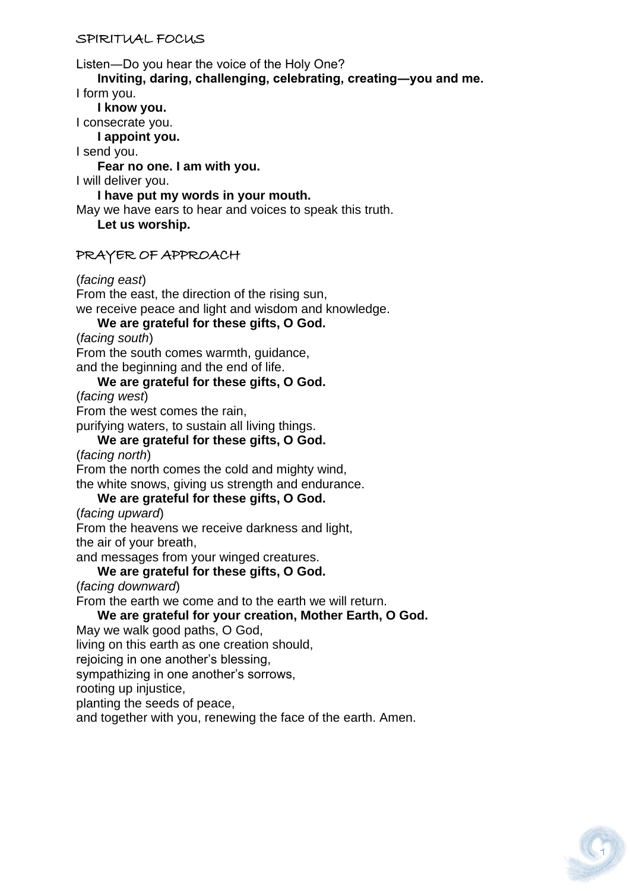#### SPIRITUAL FOCUS

Listen―Do you hear the voice of the Holy One?

 **Inviting, daring, challenging, celebrating, creating―you and me.** I form you.

 **I know you.**

I consecrate you.  **I appoint you.**

I send you.

 **Fear no one. I am with you.**

I will deliver you.

 **I have put my words in your mouth.**

May we have ears to hear and voices to speak this truth.

 **Let us worship.**

# PRAYER OF APPROACH

(*facing east*)

From the east, the direction of the rising sun, we receive peace and light and wisdom and knowledge.

 **We are grateful for these gifts, O God.**

(*facing south*)

From the south comes warmth, guidance, and the beginning and the end of life.

# **We are grateful for these gifts, O God.**

(*facing west*)

From the west comes the rain,

purifying waters, to sustain all living things.

### **We are grateful for these gifts, O God.**

(*facing north*)

From the north comes the cold and mighty wind,

the white snows, giving us strength and endurance.

# **We are grateful for these gifts, O God.**

(*facing upward*)

From the heavens we receive darkness and light,

the air of your breath,

and messages from your winged creatures.

#### **We are grateful for these gifts, O God.**

(*facing downward*)

From the earth we come and to the earth we will return.

# **We are grateful for your creation, Mother Earth, O God.**

May we walk good paths, O God,

living on this earth as one creation should,

rejoicing in one another's blessing,

sympathizing in one another's sorrows,

rooting up injustice,

planting the seeds of peace,

and together with you, renewing the face of the earth. Amen.

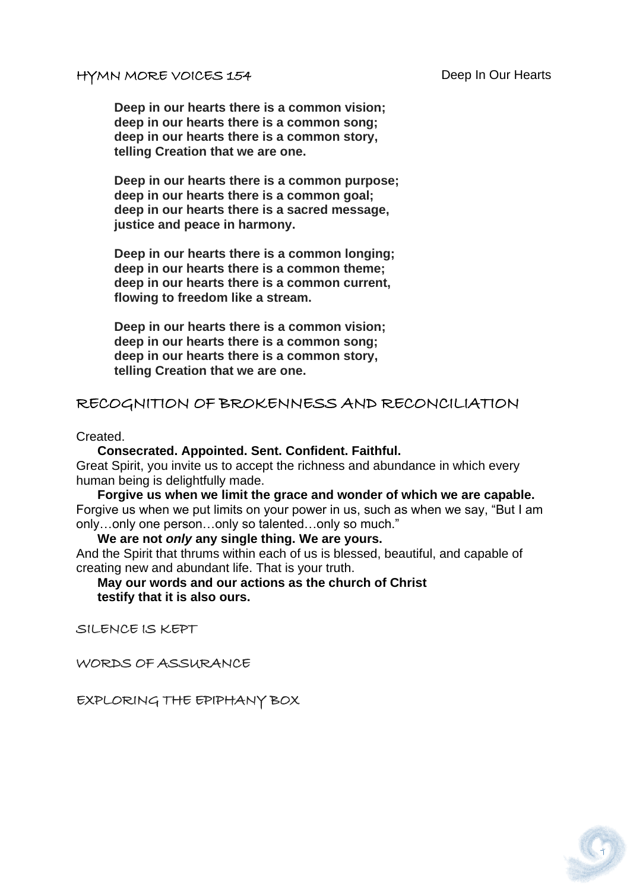#### HYMN MORE VOICES 154 Deep In Our Hearts

**Deep in our hearts there is a common vision; deep in our hearts there is a common song; deep in our hearts there is a common story, telling Creation that we are one.**

**Deep in our hearts there is a common purpose; deep in our hearts there is a common goal; deep in our hearts there is a sacred message, justice and peace in harmony.**

**Deep in our hearts there is a common longing; deep in our hearts there is a common theme; deep in our hearts there is a common current, flowing to freedom like a stream.**

**Deep in our hearts there is a common vision; deep in our hearts there is a common song; deep in our hearts there is a common story, telling Creation that we are one.**

# RECOGNITION OF BROKENNESS AND RECONCILIATION

Created.

 **Consecrated. Appointed. Sent. Confident. Faithful.** Great Spirit, you invite us to accept the richness and abundance in which every human being is delightfully made.

 **Forgive us when we limit the grace and wonder of which we are capable.** Forgive us when we put limits on your power in us, such as when we say, "But I am only…only one person…only so talented…only so much."

 **We are not** *only* **any single thing. We are yours.** And the Spirit that thrums within each of us is blessed, beautiful, and capable of creating new and abundant life. That is your truth.

 **May our words and our actions as the church of Christ testify that it is also ours.**

SILENCE IS KEPT

WORDS OF ASSURANCE

EXPLORING THE EPIPHANY BOX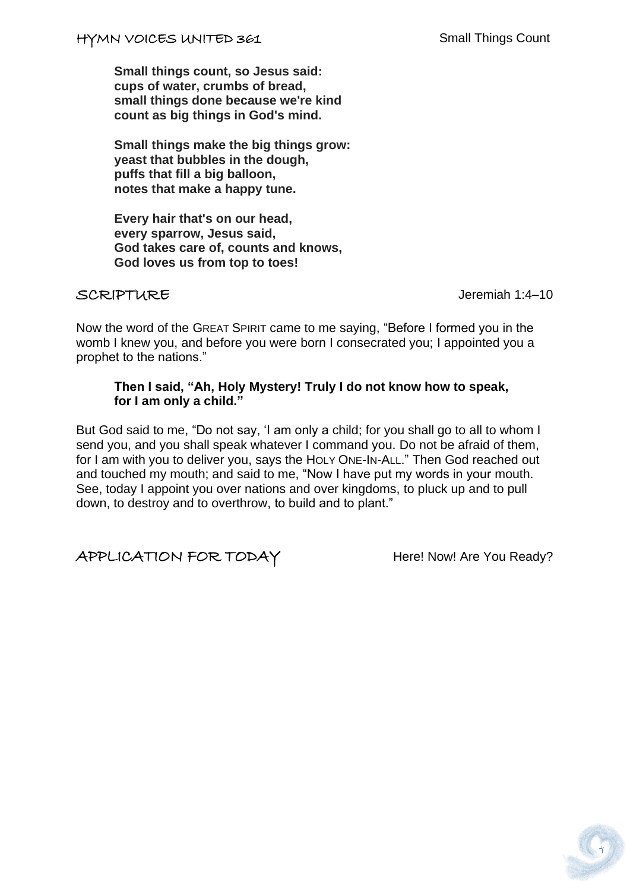**Small things count, so Jesus said: cups of water, crumbs of bread, small things done because we're kind count as big things in God's mind.**

**Small things make the big things grow: yeast that bubbles in the dough, puffs that fill a big balloon, notes that make a happy tune.**

**Every hair that's on our head, every sparrow, Jesus said, God takes care of, counts and knows, God loves us from top to toes!**

SCRIPTURE Jeremiah 1:4–10

Now the word of the GREAT SPIRIT came to me saying, "Before I formed you in the womb I knew you, and before you were born I consecrated you; I appointed you a prophet to the nations."

#### **Then I said, "Ah, Holy Mystery! Truly I do not know how to speak, for I am only a child."**

But God said to me, "Do not say, 'I am only a child; for you shall go to all to whom I send you, and you shall speak whatever I command you. Do not be afraid of them, for I am with you to deliver you, says the HOLY ONE-IN-ALL." Then God reached out and touched my mouth; and said to me, "Now I have put my words in your mouth. See, today I appoint you over nations and over kingdoms, to pluck up and to pull down, to destroy and to overthrow, to build and to plant."

APPLICATION FOR TODAY Here! Now! Are You Ready?

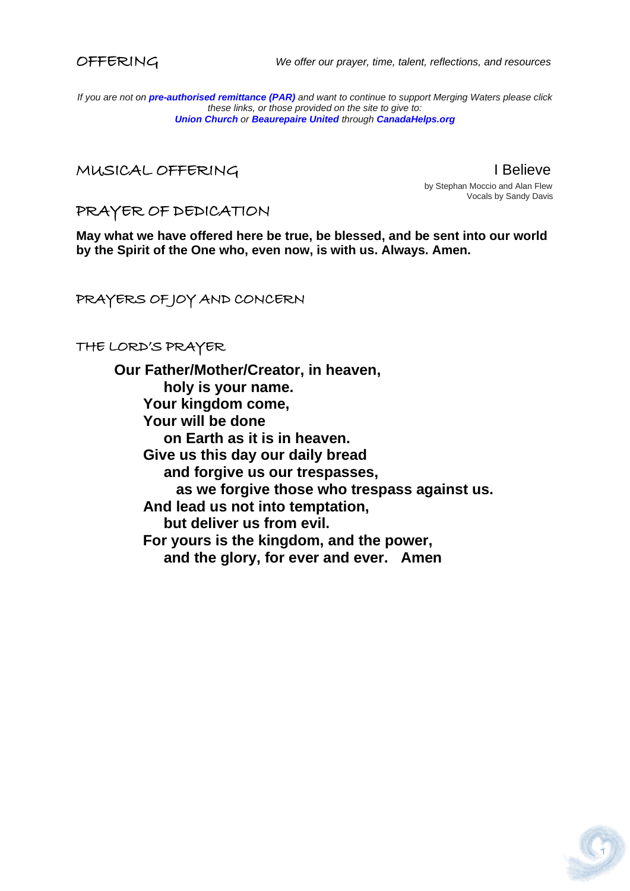

OFFERING *We offer our prayer, time, talent, reflections, and resources*

*If you are not on pre-authorised [remittance \(PAR\)](http://mergingwaters.ca/mt-content/uploads/2020/03/form_par-authorization.pdf) and want to continue to support Merging Waters please click these links, or those provided on the site to give to: [Union Church](https://www.canadahelps.org/en/charities/union-church-ste-anne-de-bellevue/) o[r](https://www.canadahelps.org/en/charities/beaurepaire-united-church/) [Beaurepaire United](https://www.canadahelps.org/en/charities/beaurepaire-united-church/) through [CanadaHelps.org](http://www.canadahelps.org/)*

MUSICAL OFFERING I Believe

 by Stephan Moccio and Alan Flew Vocals by Sandy Davis

PRAYER OF DEDICATION

**May what we have offered here be true, be blessed, and be sent into our world by the Spirit of the One who, even now, is with us. Always. Amen.**

PRAYERS OF JOY AND CONCERN

THE LORD'S PRAYER

**Our Father/Mother/Creator, in heaven, holy is your name. Your kingdom come, Your will be done on Earth as it is in heaven. Give us this day our daily bread and forgive us our trespasses, as we forgive those who trespass against us. And lead us not into temptation, but deliver us from evil. For yours is the kingdom, and the power, and the glory, for ever and ever. Amen**

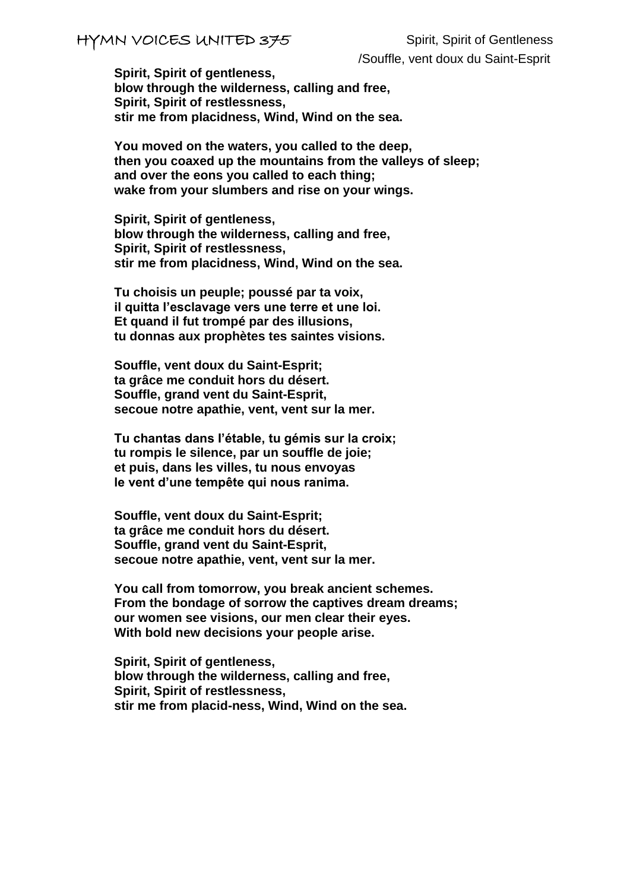# HYMN VOICES UNITED 375 Spirit, Spirit of Gentleness

/Souffle, vent doux du Saint-Esprit

**Spirit, Spirit of gentleness, blow through the wilderness, calling and free, Spirit, Spirit of restlessness, stir me from placidness, Wind, Wind on the sea.**

**You moved on the waters, you called to the deep, then you coaxed up the mountains from the valleys of sleep; and over the eons you called to each thing; wake from your slumbers and rise on your wings.**

**Spirit, Spirit of gentleness, blow through the wilderness, calling and free, Spirit, Spirit of restlessness, stir me from placidness, Wind, Wind on the sea.**

**Tu choisis un peuple; poussé par ta voix, il quitta l'esclavage vers une terre et une loi. Et quand il fut trompé par des illusions, tu donnas aux prophètes tes saintes visions.** 

**Souffle, vent doux du Saint-Esprit; ta grâce me conduit hors du désert. Souffle, grand vent du Saint-Esprit, secoue notre apathie, vent, vent sur la mer.**

**Tu chantas dans I'étable, tu gémis sur la croix; tu rompis le silence, par un souffle de joie; et puis, dans les villes, tu nous envoyas le vent d'une tempête qui nous ranima.**

**Souffle, vent doux du Saint-Esprit; ta grâce me conduit hors du désert. Souffle, grand vent du Saint-Esprit, secoue notre apathie, vent, vent sur la mer.**

**You call from tomorrow, you break ancient schemes. From the bondage of sorrow the captives dream dreams; our women see visions, our men clear their eyes. With bold new decisions your people arise.**

**Spirit, Spirit of gentleness, blow through the wilderness, calling and free, Spirit, Spirit of restlessness, stir me from placid-ness, Wind, Wind on the sea.**